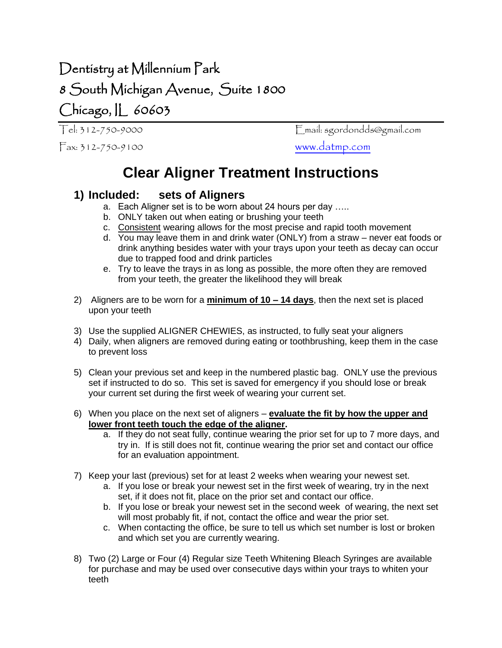## Dentistry at Millennium Park 8 South Michigan Avenue, Suite 1800 Chicago, IL 60603

Fax: 312-750-9100 [www.datmp.com](http://www.datmp.com/)

Tel: 312-750-9000 Email: sgordondds@gmail.com

## **Clear Aligner Treatment Instructions**

## **1) Included: sets of Aligners**

- a. Each Aligner set is to be worn about 24 hours per day …..
- b. ONLY taken out when eating or brushing your teeth
- c. Consistent wearing allows for the most precise and rapid tooth movement
- d. You may leave them in and drink water (ONLY) from a straw never eat foods or drink anything besides water with your trays upon your teeth as decay can occur due to trapped food and drink particles
- e. Try to leave the trays in as long as possible, the more often they are removed from your teeth, the greater the likelihood they will break
- 2) Aligners are to be worn for a **minimum of 10 – 14 days**, then the next set is placed upon your teeth
- 3) Use the supplied ALIGNER CHEWIES, as instructed, to fully seat your aligners
- 4) Daily, when aligners are removed during eating or toothbrushing, keep them in the case to prevent loss
- 5) Clean your previous set and keep in the numbered plastic bag. ONLY use the previous set if instructed to do so. This set is saved for emergency if you should lose or break your current set during the first week of wearing your current set.
- 6) When you place on the next set of aligners **evaluate the fit by how the upper and lower front teeth touch the edge of the aligner.** 
	- a. If they do not seat fully, continue wearing the prior set for up to 7 more days, and try in. If is still does not fit, continue wearing the prior set and contact our office for an evaluation appointment.
- 7) Keep your last (previous) set for at least 2 weeks when wearing your newest set.
	- a. If you lose or break your newest set in the first week of wearing, try in the next set, if it does not fit, place on the prior set and contact our office.
	- b. If you lose or break your newest set in the second week of wearing, the next set will most probably fit, if not, contact the office and wear the prior set.
	- c. When contacting the office, be sure to tell us which set number is lost or broken and which set you are currently wearing.
- 8) Two (2) Large or Four (4) Regular size Teeth Whitening Bleach Syringes are available for purchase and may be used over consecutive days within your trays to whiten your teeth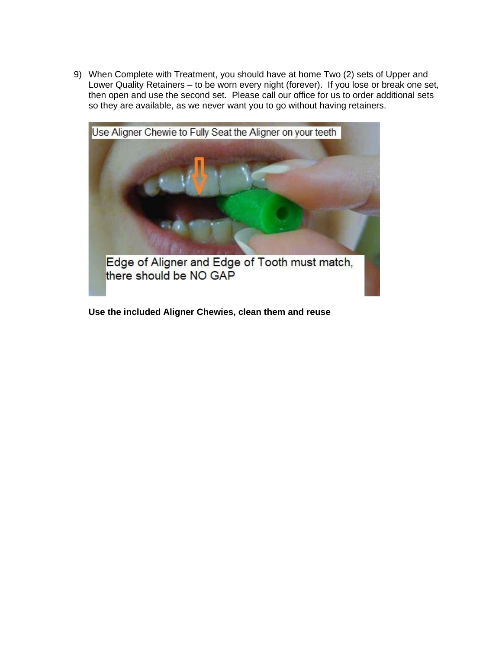9) When Complete with Treatment, you should have at home Two (2) sets of Upper and Lower Quality Retainers – to be worn every night (forever). If you lose or break one set, then open and use the second set. Please call our office for us to order additional sets so they are available, as we never want you to go without having retainers.



**Use the included Aligner Chewies, clean them and reuse**